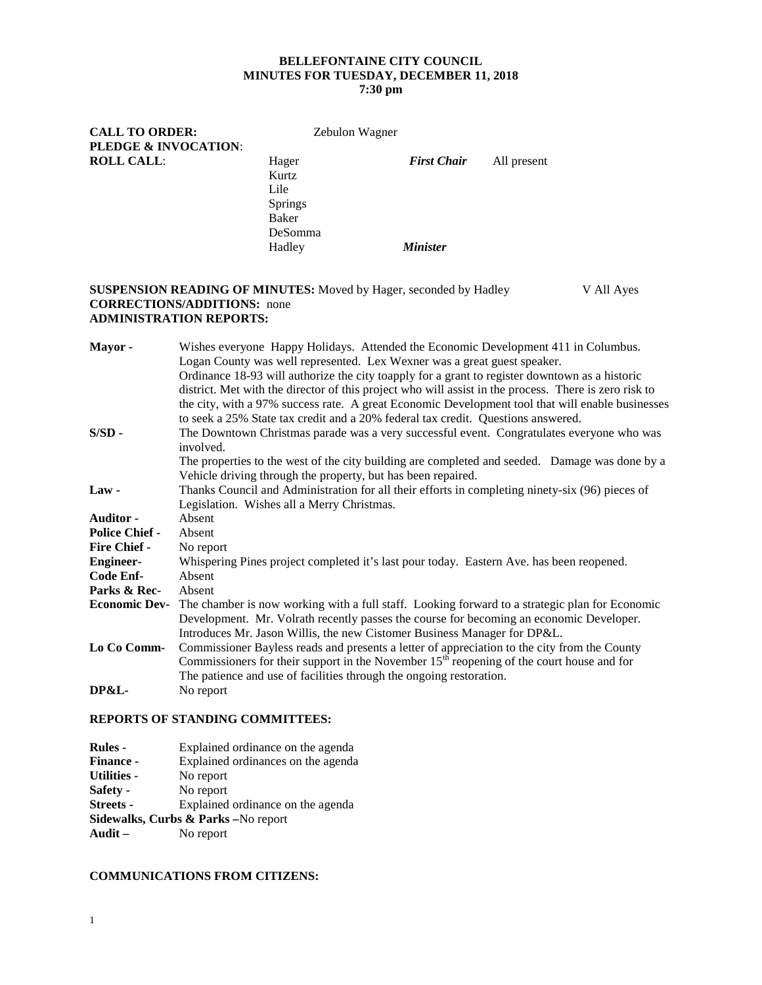#### **BELLEFONTAINE CITY COUNCIL MINUTES FOR TUESDAY, DECEMBER 11, 2018 7:30 pm**

| <b>CALL TO ORDER:</b> | Zebulon Wagner |                    |             |  |
|-----------------------|----------------|--------------------|-------------|--|
| PLEDGE & INVOCATION:  |                |                    |             |  |
| <b>ROLL CALL:</b>     | Hager          | <b>First Chair</b> | All present |  |
|                       | Kurtz          |                    |             |  |
|                       | Lile           |                    |             |  |
|                       | Springs        |                    |             |  |
|                       | Baker          |                    |             |  |
|                       | DeSomma        |                    |             |  |
|                       | Hadley         | <b>Minister</b>    |             |  |
|                       |                |                    |             |  |

#### **SUSPENSION READING OF MINUTES:** Moved by Hager, seconded by Hadley V All Ayes **CORRECTIONS/ADDITIONS:** none **ADMINISTRATION REPORTS:**

| Mayor-                | Wishes everyone Happy Holidays. Attended the Economic Development 411 in Columbus.                     |  |  |
|-----------------------|--------------------------------------------------------------------------------------------------------|--|--|
|                       | Logan County was well represented. Lex Wexner was a great guest speaker.                               |  |  |
|                       | Ordinance 18-93 will authorize the city toapply for a grant to register downtown as a historic         |  |  |
|                       | district. Met with the director of this project who will assist in the process. There is zero risk to  |  |  |
|                       | the city, with a 97% success rate. A great Economic Development tool that will enable businesses       |  |  |
|                       | to seek a 25% State tax credit and a 20% federal tax credit. Questions answered.                       |  |  |
| $S/SD$ -              | The Downtown Christmas parade was a very successful event. Congratulates everyone who was<br>involved. |  |  |
|                       | The properties to the west of the city building are completed and seeded. Damage was done by a         |  |  |
|                       | Vehicle driving through the property, but has been repaired.                                           |  |  |
| $Law -$               | Thanks Council and Administration for all their efforts in completing ninety-six (96) pieces of        |  |  |
|                       | Legislation. Wishes all a Merry Christmas.                                                             |  |  |
| <b>Auditor -</b>      | Absent                                                                                                 |  |  |
| <b>Police Chief -</b> | Absent                                                                                                 |  |  |
| <b>Fire Chief -</b>   | No report                                                                                              |  |  |
| <b>Engineer-</b>      | Whispering Pines project completed it's last pour today. Eastern Ave. has been reopened.               |  |  |
| Code Enf-             | Absent                                                                                                 |  |  |
| Parks & Rec-          | Absent                                                                                                 |  |  |
| <b>Economic Dev-</b>  | The chamber is now working with a full staff. Looking forward to a strategic plan for Economic         |  |  |
|                       | Development. Mr. Volrath recently passes the course for becoming an economic Developer.                |  |  |
|                       | Introduces Mr. Jason Willis, the new Cistomer Business Manager for DP&L.                               |  |  |
| Lo Co Comm-           | Commissioner Bayless reads and presents a letter of appreciation to the city from the County           |  |  |
|                       | Commissioners for their support in the November $15th$ reopening of the court house and for            |  |  |
|                       | The patience and use of facilities through the ongoing restoration.                                    |  |  |
| <b>DP&amp;L-</b>      | No report                                                                                              |  |  |

### **REPORTS OF STANDING COMMITTEES:**

| <b>Rules -</b>     | Explained ordinance on the agenda               |
|--------------------|-------------------------------------------------|
| <b>Finance -</b>   | Explained ordinances on the agenda              |
| <b>Utilities -</b> | No report                                       |
| Safety -           | No report                                       |
| <b>Streets -</b>   | Explained ordinance on the agenda               |
|                    | <b>Sidewalks, Curbs &amp; Parks</b> – No report |
| Audit $-$          | No report                                       |

### **COMMUNICATIONS FROM CITIZENS:**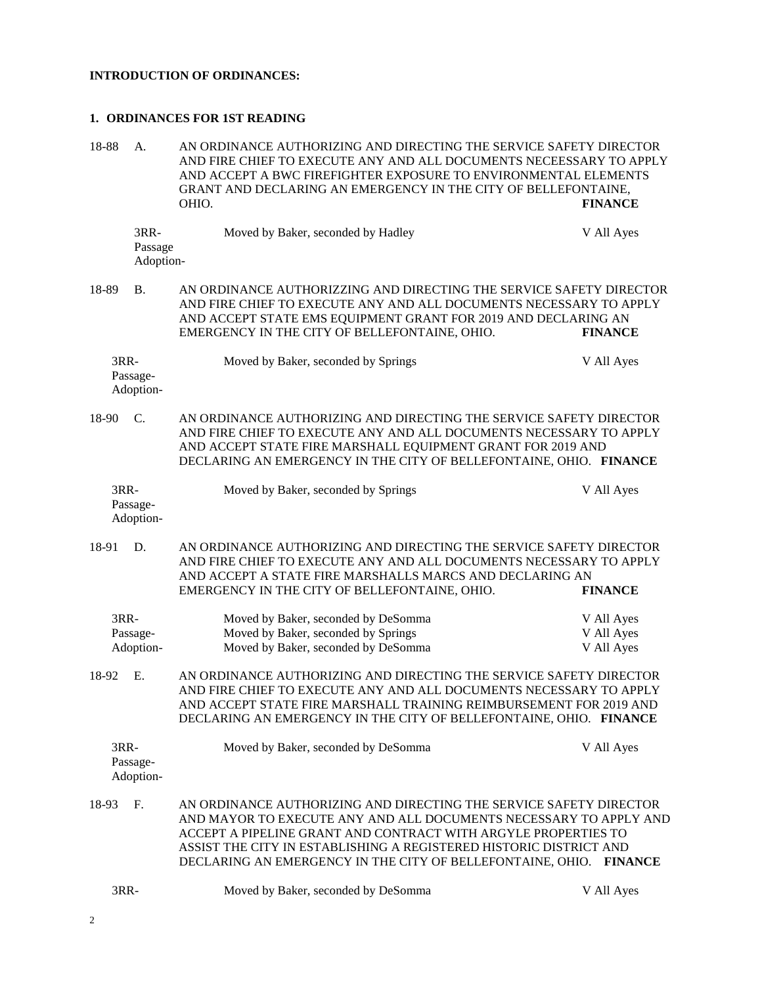# **INTRODUCTION OF ORDINANCES:**

## **1. ORDINANCES FOR 1ST READING**

| 18-88 | A.                           | AN ORDINANCE AUTHORIZING AND DIRECTING THE SERVICE SAFETY DIRECTOR<br>AND FIRE CHIEF TO EXECUTE ANY AND ALL DOCUMENTS NECEESSARY TO APPLY<br>AND ACCEPT A BWC FIREFIGHTER EXPOSURE TO ENVIRONMENTAL ELEMENTS<br>GRANT AND DECLARING AN EMERGENCY IN THE CITY OF BELLEFONTAINE,<br>OHIO.<br><b>FINANCE</b>                                             |                          |  |  |
|-------|------------------------------|-------------------------------------------------------------------------------------------------------------------------------------------------------------------------------------------------------------------------------------------------------------------------------------------------------------------------------------------------------|--------------------------|--|--|
|       | 3RR-<br>Passage<br>Adoption- | Moved by Baker, seconded by Hadley                                                                                                                                                                                                                                                                                                                    | V All Ayes               |  |  |
| 18-89 | <b>B.</b>                    | AN ORDINANCE AUTHORIZZING AND DIRECTING THE SERVICE SAFETY DIRECTOR<br>AND FIRE CHIEF TO EXECUTE ANY AND ALL DOCUMENTS NECESSARY TO APPLY<br>AND ACCEPT STATE EMS EQUIPMENT GRANT FOR 2019 AND DECLARING AN<br>EMERGENCY IN THE CITY OF BELLEFONTAINE, OHIO.                                                                                          | <b>FINANCE</b>           |  |  |
| 3RR-  | Passage-<br>Adoption-        | Moved by Baker, seconded by Springs                                                                                                                                                                                                                                                                                                                   | V All Ayes               |  |  |
| 18-90 | C.                           | AN ORDINANCE AUTHORIZING AND DIRECTING THE SERVICE SAFETY DIRECTOR<br>AND FIRE CHIEF TO EXECUTE ANY AND ALL DOCUMENTS NECESSARY TO APPLY<br>AND ACCEPT STATE FIRE MARSHALL EQUIPMENT GRANT FOR 2019 AND<br>DECLARING AN EMERGENCY IN THE CITY OF BELLEFONTAINE, OHIO. FINANCE                                                                         |                          |  |  |
| 3RR-  | Passage-<br>Adoption-        | Moved by Baker, seconded by Springs                                                                                                                                                                                                                                                                                                                   | V All Ayes               |  |  |
| 18-91 | D.                           | AN ORDINANCE AUTHORIZING AND DIRECTING THE SERVICE SAFETY DIRECTOR<br>AND FIRE CHIEF TO EXECUTE ANY AND ALL DOCUMENTS NECESSARY TO APPLY<br>AND ACCEPT A STATE FIRE MARSHALLS MARCS AND DECLARING AN<br>EMERGENCY IN THE CITY OF BELLEFONTAINE, OHIO.                                                                                                 | <b>FINANCE</b>           |  |  |
| 3RR-  | Passage-                     | Moved by Baker, seconded by DeSomma<br>Moved by Baker, seconded by Springs                                                                                                                                                                                                                                                                            | V All Ayes<br>V All Ayes |  |  |
|       | Adoption-                    | Moved by Baker, seconded by DeSomma                                                                                                                                                                                                                                                                                                                   | V All Ayes               |  |  |
| 18-92 | Ε.                           | AN ORDINANCE AUTHORIZING AND DIRECTING THE SERVICE SAFETY DIRECTOR<br>AND FIRE CHIEF TO EXECUTE ANY AND ALL DOCUMENTS NECESSARY TO APPLY<br>AND ACCEPT STATE FIRE MARSHALL TRAINING REIMBURSEMENT FOR 2019 AND<br>DECLARING AN EMERGENCY IN THE CITY OF BELLEFONTAINE, OHIO. FINANCE                                                                  |                          |  |  |
| 3RR-  | Passage-<br>Adoption-        | Moved by Baker, seconded by DeSomma                                                                                                                                                                                                                                                                                                                   | V All Ayes               |  |  |
| 18-93 | F.                           | AN ORDINANCE AUTHORIZING AND DIRECTING THE SERVICE SAFETY DIRECTOR<br>AND MAYOR TO EXECUTE ANY AND ALL DOCUMENTS NECESSARY TO APPLY AND<br>ACCEPT A PIPELINE GRANT AND CONTRACT WITH ARGYLE PROPERTIES TO<br>ASSIST THE CITY IN ESTABLISHING A REGISTERED HISTORIC DISTRICT AND<br>DECLARING AN EMERGENCY IN THE CITY OF BELLEFONTAINE, OHIO. FINANCE |                          |  |  |
| 3RR-  |                              | Moved by Baker, seconded by DeSomma                                                                                                                                                                                                                                                                                                                   | V All Ayes               |  |  |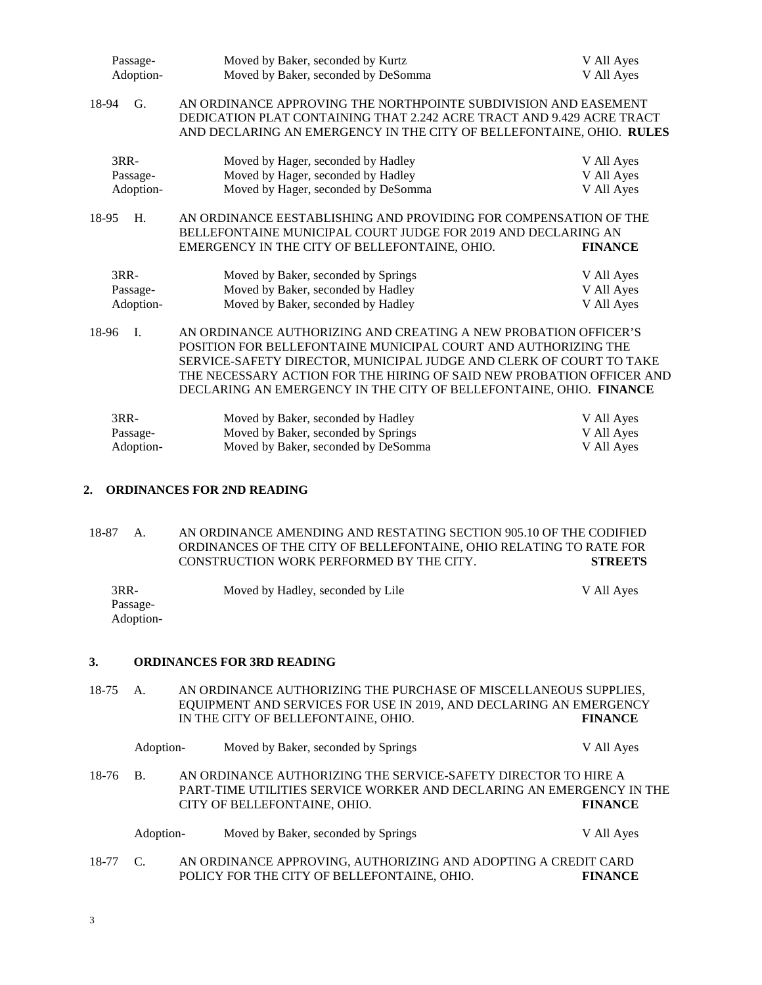| Passage-    | Moved by Baker, seconded by Kurtz                                     | V All Ayes     |
|-------------|-----------------------------------------------------------------------|----------------|
| Adoption-   | Moved by Baker, seconded by DeSomma                                   | V All Ayes     |
| 18-94<br>G. | AN ORDINANCE APPROVING THE NORTHPOINTE SUBDIVISION AND EASEMENT       |                |
|             | DEDICATION PLAT CONTAINING THAT 2.242 ACRE TRACT AND 9.429 ACRE TRACT |                |
|             | AND DECLARING AN EMERGENCY IN THE CITY OF BELLEFONTAINE, OHIO. RULES  |                |
| 3RR-        | Moved by Hager, seconded by Hadley                                    | V All Ayes     |
| Passage-    | Moved by Hager, seconded by Hadley                                    | V All Ayes     |
| Adoption-   | Moved by Hager, seconded by DeSomma                                   | V All Ayes     |
| H.<br>18-95 | AN ORDINANCE EESTABLISHING AND PROVIDING FOR COMPENSATION OF THE      |                |
|             | BELLEFONTAINE MUNICIPAL COURT JUDGE FOR 2019 AND DECLARING AN         |                |
|             | EMERGENCY IN THE CITY OF BELLEFONTAINE, OHIO.                         | <b>FINANCE</b> |
| 3RR-        | Moved by Baker, seconded by Springs                                   | V All Ayes     |
| Passage-    | Moved by Baker, seconded by Hadley                                    | V All Ayes     |
| Adoption-   | Moved by Baker, seconded by Hadley                                    | V All Ayes     |
| Ι.<br>18-96 | AN ORDINANCE AUTHORIZING AND CREATING A NEW PROBATION OFFICER'S       |                |
|             | POSITION FOR BELLEFONTAINE MUNICIPAL COURT AND AUTHORIZING THE        |                |
|             | SERVICE-SAFETY DIRECTOR, MUNICIPAL JUDGE AND CLERK OF COURT TO TAKE   |                |
|             | THE NECESSARY ACTION FOR THE HIRING OF SAID NEW PROBATION OFFICER AND |                |
|             | DECLARING AN EMERGENCY IN THE CITY OF BELLEFONTAINE, OHIO. FINANCE    |                |
| 3RR-        | Moved by Baker, seconded by Hadley                                    | V All Ayes     |
| Passage-    | Moved by Baker, seconded by Springs                                   | V All Ayes     |
| Adoption-   | Moved by Baker, seconded by DeSomma                                   | V All Ayes     |
|             |                                                                       |                |

### **2. ORDINANCES FOR 2ND READING**

18-87 A. AN ORDINANCE AMENDING AND RESTATING SECTION 905.10 OF THE CODIFIED ORDINANCES OF THE CITY OF BELLEFONTAINE, OHIO RELATING TO RATE FOR CONSTRUCTION WORK PERFORMED BY THE CITY. CONSTRUCTION WORK PERFORMED BY THE CITY.

| 3RR-      | Moved by Hadley, seconded by Lile | V All Ayes |
|-----------|-----------------------------------|------------|
| Passage-  |                                   |            |
| Adoption- |                                   |            |

#### **3. ORDINANCES FOR 3RD READING**

18-75 A. AN ORDINANCE AUTHORIZING THE PURCHASE OF MISCELLANEOUS SUPPLIES, EQUIPMENT AND SERVICES FOR USE IN 2019, AND DECLARING AN EMERGENCY IN THE CITY OF BELLEFONTAINE, OHIO. **FINANCE**

|          | Adoption- | Moved by Baker, seconded by Springs                                                                                                                                    |  |  | V All Ayes     |  |
|----------|-----------|------------------------------------------------------------------------------------------------------------------------------------------------------------------------|--|--|----------------|--|
| 18-76 B. |           | AN ORDINANCE AUTHORIZING THE SERVICE-SAFETY DIRECTOR TO HIRE A<br>PART-TIME UTILITIES SERVICE WORKER AND DECLARING AN EMERGENCY IN THE<br>CITY OF BELLEFONTAINE, OHIO. |  |  | <b>FINANCE</b> |  |

|          | Adoption- | Moved by Baker, seconded by Springs                            | V All Ayes     |
|----------|-----------|----------------------------------------------------------------|----------------|
| 18-77 C. |           | AN ORDINANCE APPROVING, AUTHORIZING AND ADOPTING A CREDIT CARD |                |
|          |           | POLICY FOR THE CITY OF BELLEFONTAINE, OHIO.                    | <b>FINANCE</b> |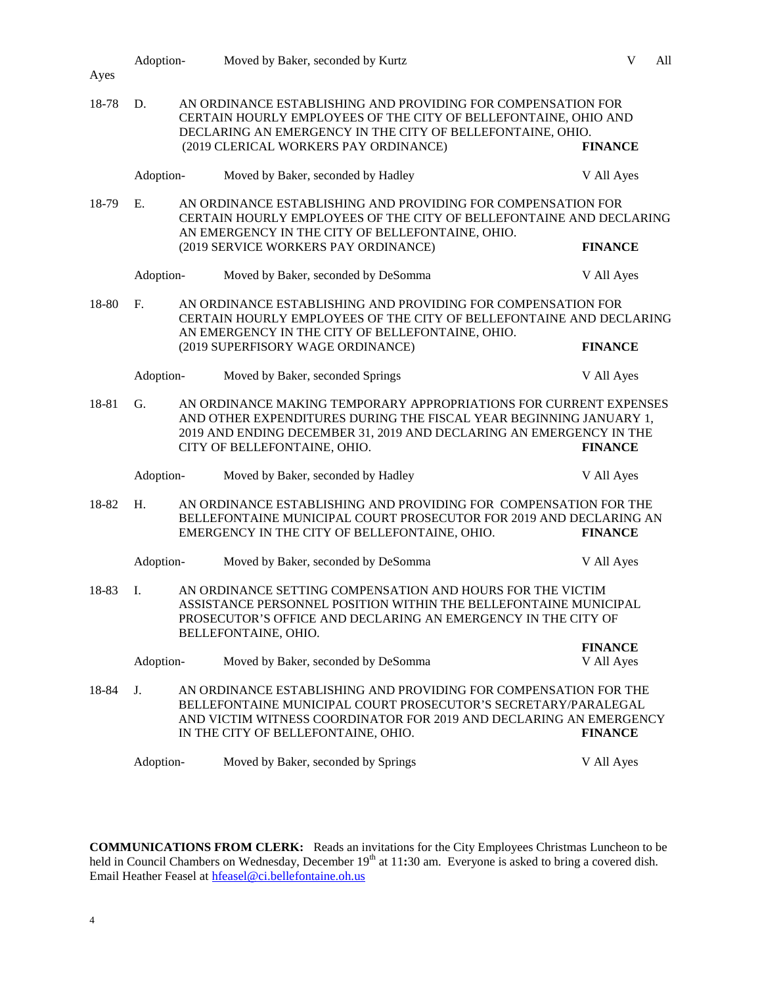| Ayes        | Adoption-      |                                                                                                                                                                                                                                                                  | Moved by Baker, seconded by Kurtz                                                                                                                                                                                                               | V<br>All       |  |
|-------------|----------------|------------------------------------------------------------------------------------------------------------------------------------------------------------------------------------------------------------------------------------------------------------------|-------------------------------------------------------------------------------------------------------------------------------------------------------------------------------------------------------------------------------------------------|----------------|--|
| 18-78       | D.             |                                                                                                                                                                                                                                                                  | AN ORDINANCE ESTABLISHING AND PROVIDING FOR COMPENSATION FOR<br>CERTAIN HOURLY EMPLOYEES OF THE CITY OF BELLEFONTAINE, OHIO AND<br>DECLARING AN EMERGENCY IN THE CITY OF BELLEFONTAINE, OHIO.<br>(2019 CLERICAL WORKERS PAY ORDINANCE)          | <b>FINANCE</b> |  |
|             | Adoption-      |                                                                                                                                                                                                                                                                  | Moved by Baker, seconded by Hadley                                                                                                                                                                                                              | V All Ayes     |  |
| 18-79       | E.             |                                                                                                                                                                                                                                                                  | AN ORDINANCE ESTABLISHING AND PROVIDING FOR COMPENSATION FOR<br>CERTAIN HOURLY EMPLOYEES OF THE CITY OF BELLEFONTAINE AND DECLARING<br>AN EMERGENCY IN THE CITY OF BELLEFONTAINE, OHIO.                                                         |                |  |
|             |                |                                                                                                                                                                                                                                                                  | (2019 SERVICE WORKERS PAY ORDINANCE)                                                                                                                                                                                                            | <b>FINANCE</b> |  |
|             | Adoption-      |                                                                                                                                                                                                                                                                  | Moved by Baker, seconded by DeSomma                                                                                                                                                                                                             | V All Ayes     |  |
| 18-80       | F <sub>r</sub> |                                                                                                                                                                                                                                                                  | AN ORDINANCE ESTABLISHING AND PROVIDING FOR COMPENSATION FOR<br>CERTAIN HOURLY EMPLOYEES OF THE CITY OF BELLEFONTAINE AND DECLARING<br>AN EMERGENCY IN THE CITY OF BELLEFONTAINE, OHIO.                                                         |                |  |
|             |                |                                                                                                                                                                                                                                                                  | (2019 SUPERFISORY WAGE ORDINANCE)                                                                                                                                                                                                               | <b>FINANCE</b> |  |
|             | Adoption-      |                                                                                                                                                                                                                                                                  | Moved by Baker, seconded Springs                                                                                                                                                                                                                | V All Ayes     |  |
| G.<br>18-81 |                | AN ORDINANCE MAKING TEMPORARY APPROPRIATIONS FOR CURRENT EXPENSES<br>AND OTHER EXPENDITURES DURING THE FISCAL YEAR BEGINNING JANUARY 1,<br>2019 AND ENDING DECEMBER 31, 2019 AND DECLARING AN EMERGENCY IN THE<br>CITY OF BELLEFONTAINE, OHIO.<br><b>FINANCE</b> |                                                                                                                                                                                                                                                 |                |  |
|             | Adoption-      |                                                                                                                                                                                                                                                                  | Moved by Baker, seconded by Hadley                                                                                                                                                                                                              | V All Ayes     |  |
| 18-82       | H.             |                                                                                                                                                                                                                                                                  | AN ORDINANCE ESTABLISHING AND PROVIDING FOR COMPENSATION FOR THE<br>BELLEFONTAINE MUNICIPAL COURT PROSECUTOR FOR 2019 AND DECLARING AN<br>EMERGENCY IN THE CITY OF BELLEFONTAINE, OHIO.                                                         | <b>FINANCE</b> |  |
|             | Adoption-      |                                                                                                                                                                                                                                                                  | Moved by Baker, seconded by DeSomma                                                                                                                                                                                                             | V All Ayes     |  |
| 18-83       | I.             |                                                                                                                                                                                                                                                                  | AN ORDINANCE SETTING COMPENSATION AND HOURS FOR THE VICTIM<br>ASSISTANCE PERSONNEL POSITION WITHIN THE BELLEFONTAINE MUNICIPAL<br>PROSECUTOR'S OFFICE AND DECLARING AN EMERGENCY IN THE CITY OF<br>BELLEFONTAINE, OHIO.                         |                |  |
|             |                |                                                                                                                                                                                                                                                                  |                                                                                                                                                                                                                                                 | <b>FINANCE</b> |  |
|             | Adoption-      |                                                                                                                                                                                                                                                                  | Moved by Baker, seconded by DeSomma                                                                                                                                                                                                             | V All Ayes     |  |
| 18-84       | J.             |                                                                                                                                                                                                                                                                  | AN ORDINANCE ESTABLISHING AND PROVIDING FOR COMPENSATION FOR THE<br>BELLEFONTAINE MUNICIPAL COURT PROSECUTOR'S SECRETARY/PARALEGAL<br>AND VICTIM WITNESS COORDINATOR FOR 2019 AND DECLARING AN EMERGENCY<br>IN THE CITY OF BELLEFONTAINE, OHIO. | <b>FINANCE</b> |  |
|             | Adoption-      |                                                                                                                                                                                                                                                                  | Moved by Baker, seconded by Springs                                                                                                                                                                                                             | V All Ayes     |  |

**COMMUNICATIONS FROM CLERK:** Reads an invitations for the City Employees Christmas Luncheon to be held in Council Chambers on Wednesday, December 19<sup>th</sup> at 11:30 am. Everyone is asked to bring a covered dish. Email Heather Feasel at **hfeasel@ci.bellefontaine.oh.us**